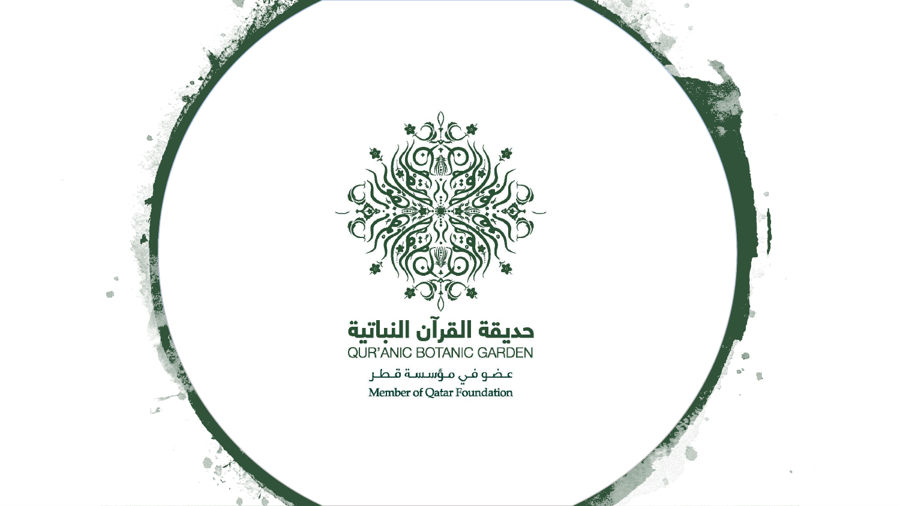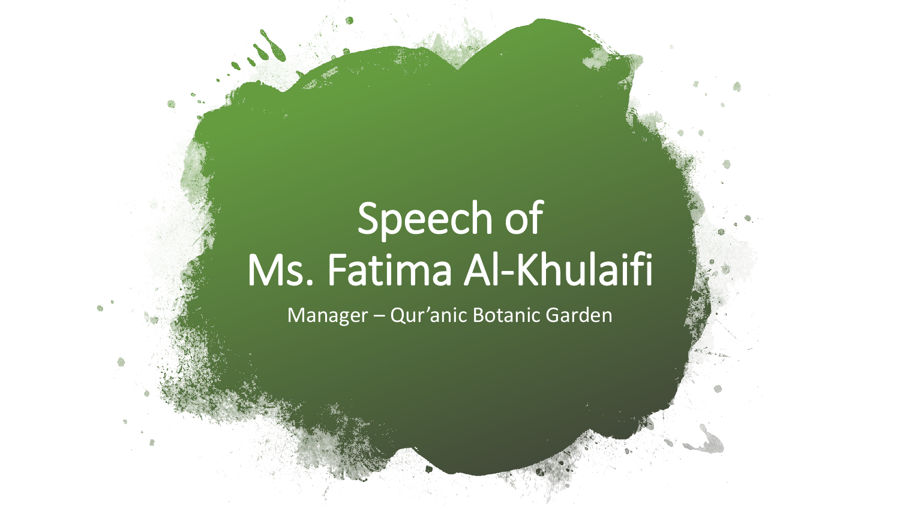## Speech of Ms. Fatima Al-Khulaifi

Manager – Qur'anic Botanic Garden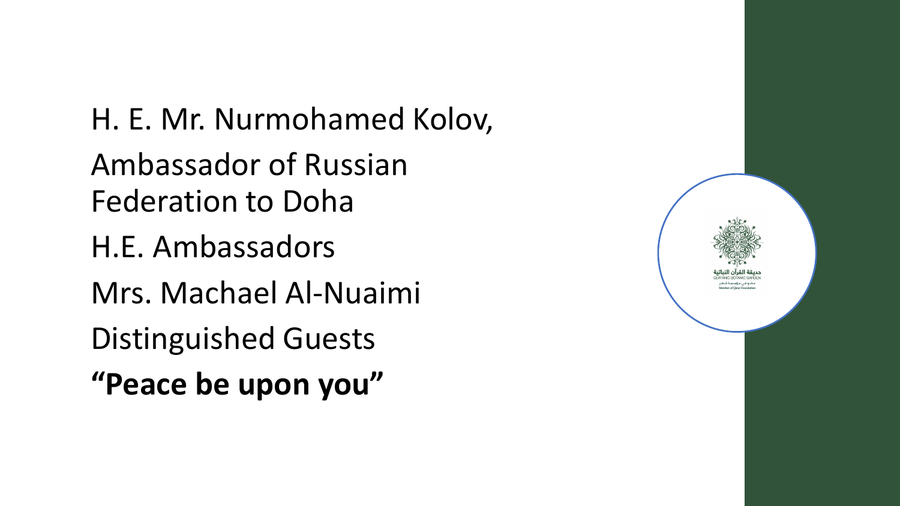H. E. Mr. Nurmohamed Kolov, Ambassador of Russian Federation to Doha H.E. Ambassadors Mrs. Machael Al-Nuaimi Distinguished Guests **"Peace be upon you"**

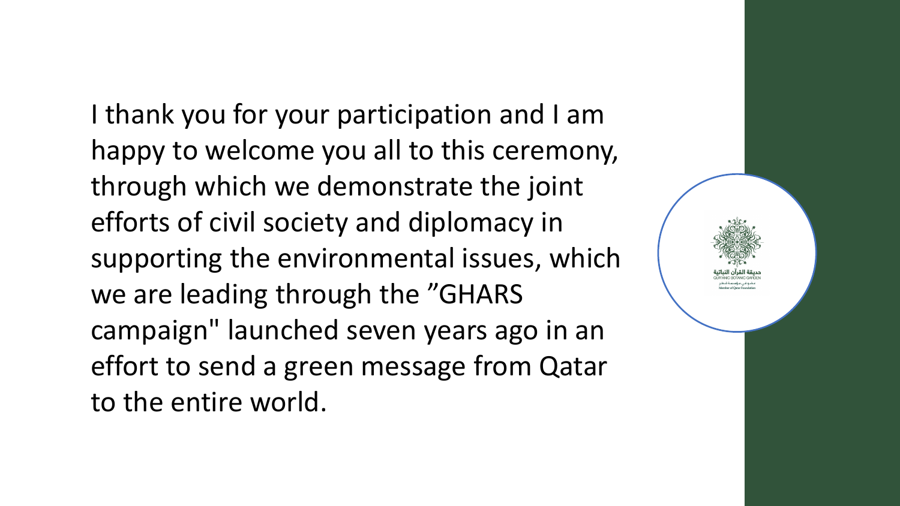I thank you for your participation and I am happy to welcome you all to this ceremony, through which we demonstrate the joint efforts of civil society and diplomacy in supporting the environmental issues, which we are leading through the "GHARS campaign" launched seven years ago in an effort to send a green message from Qatar to the entire world.

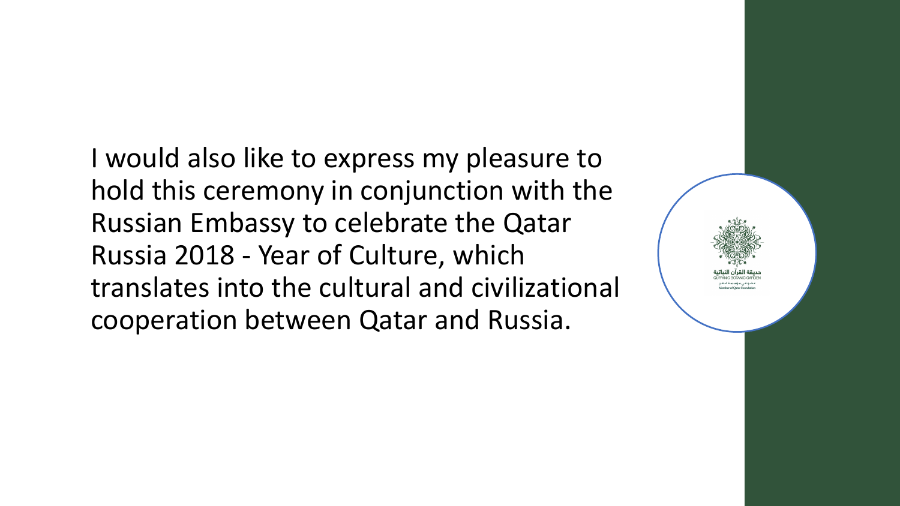I would also like to express my pleasure to hold this ceremony in conjunction with the Russian Embassy to celebrate the Qatar Russia 2018 - Year of Culture, which translates into the cultural and civilizational cooperation between Qatar and Russia.

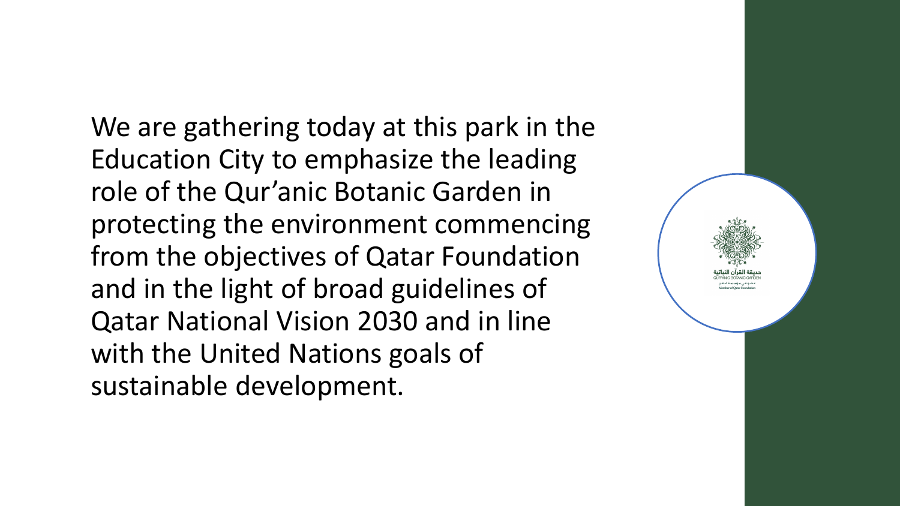We are gathering today at this park in the Education City to emphasize the leading role of the Qur'anic Botanic Garden in protecting the environment commencing from the objectives of Qatar Foundation and in the light of broad guidelines of Qatar National Vision 2030 and in line with the United Nations goals of sustainable development.

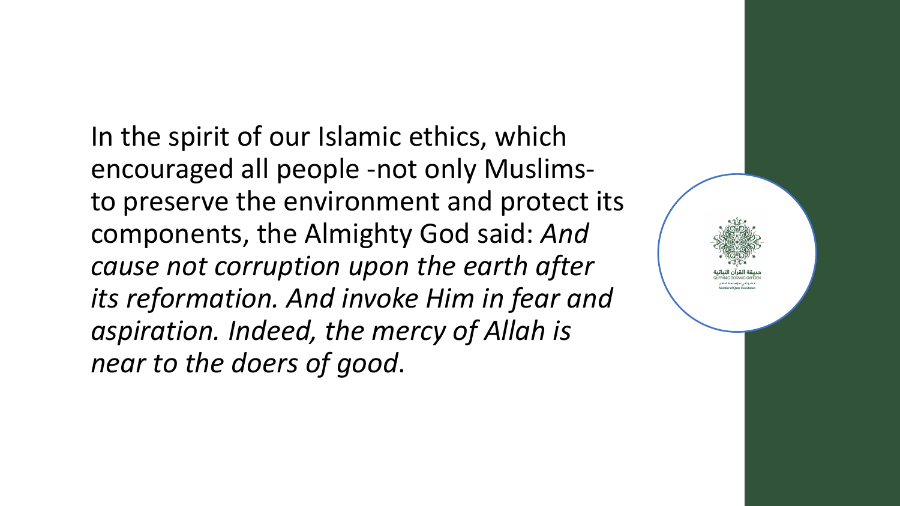In the spirit of our Islamic ethics, which encouraged all people -not only Muslimsto preserve the environment and protect its components, the Almighty God said: *And cause not corruption upon the earth after its reformation. And invoke Him in fear and aspiration. Indeed, the mercy of Allah is near to the doers of good*.

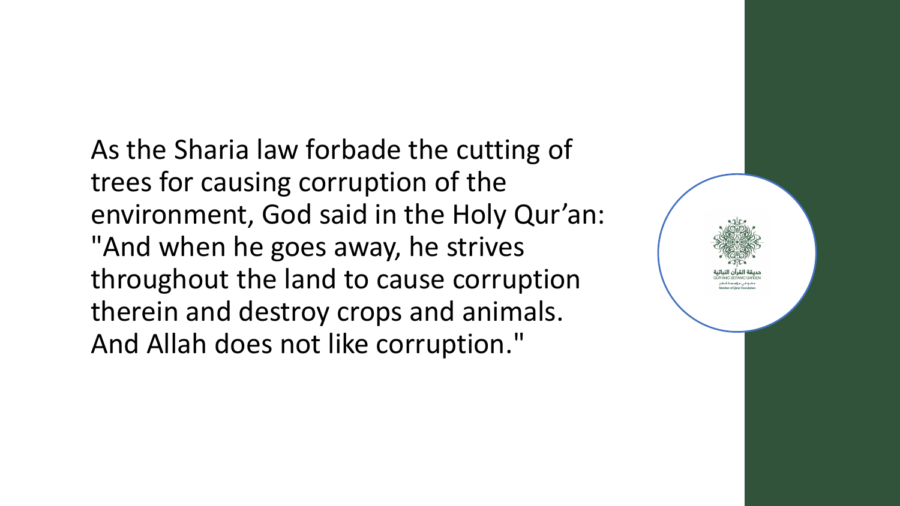As the Sharia law forbade the cutting of trees for causing corruption of the environment, God said in the Holy Qur'an: "And when he goes away, he strives throughout the land to cause corruption therein and destroy crops and animals. And Allah does not like corruption."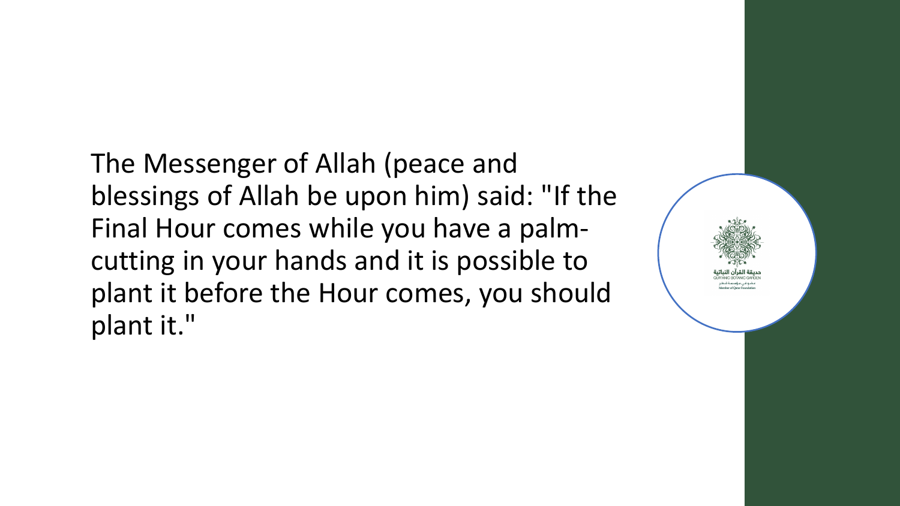The Messenger of Allah (peace and blessings of Allah be upon him) said: "If the Final Hour comes while you have a palmcutting in your hands and it is possible to plant it before the Hour comes, you should plant it."

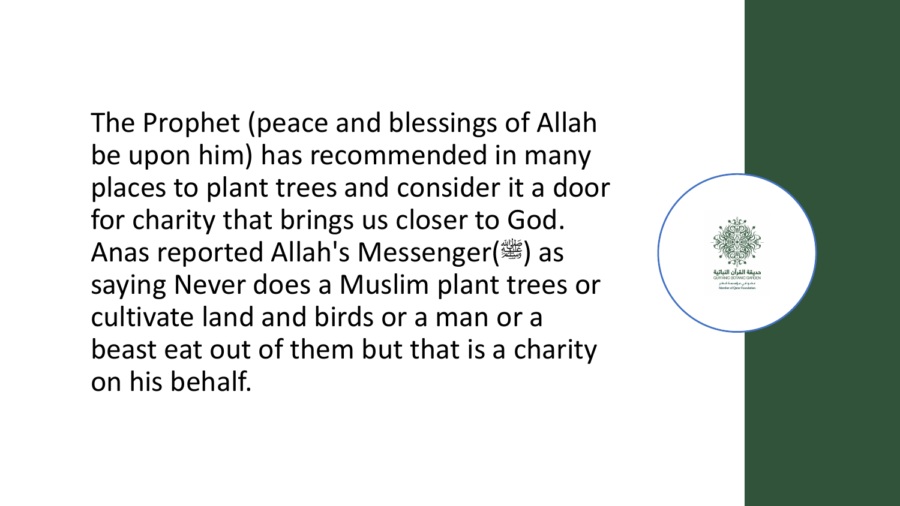The Prophet (peace and blessings of Allah be upon him) has recommended in many places to plant trees and consider it a door for charity that brings us closer to God. Anas reported Allah's Messenger( $\frac{160}{250}$ ) as saying Never does a Muslim plant trees or cultivate land and birds or a man or a beast eat out of them but that is a charity on his behalf.

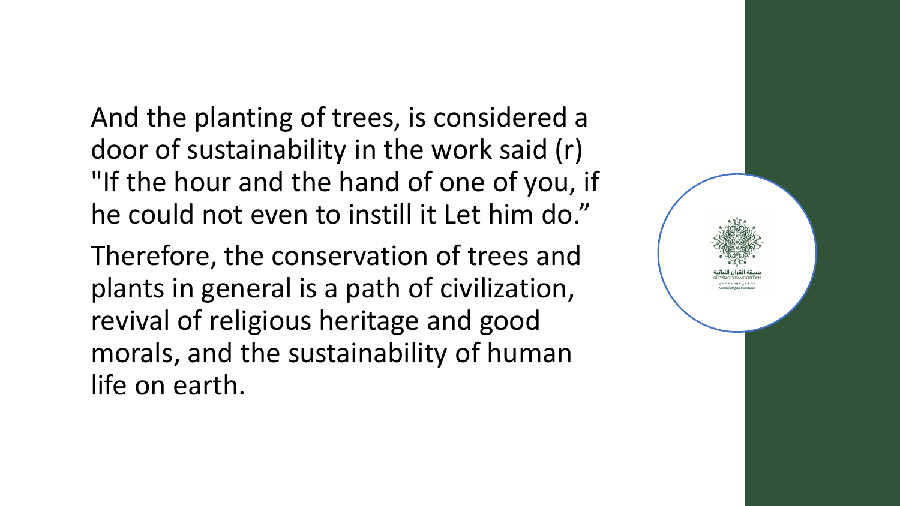And the planting of trees, is considered a door of sustainability in the work said (r) "If the hour and the hand of one of you, if he could not even to instill it Let him do."

Therefore, the conservation of trees and plants in general is a path of civilization, revival of religious heritage and good morals, and the sustainability of human life on earth.

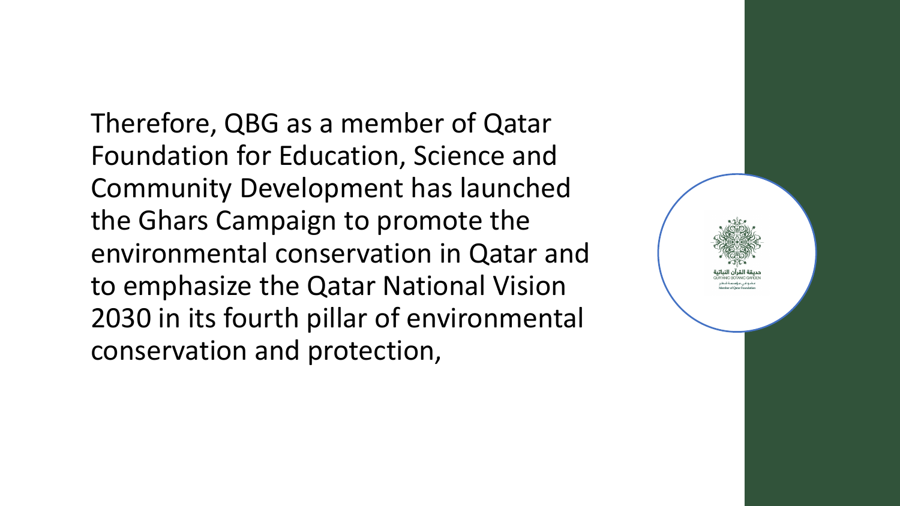Therefore, QBG as a member of Qatar Foundation for Education, Science and Community Development has launched the Ghars Campaign to promote the environmental conservation in Qatar and to emphasize the Qatar National Vision 2030 in its fourth pillar of environmental conservation and protection,

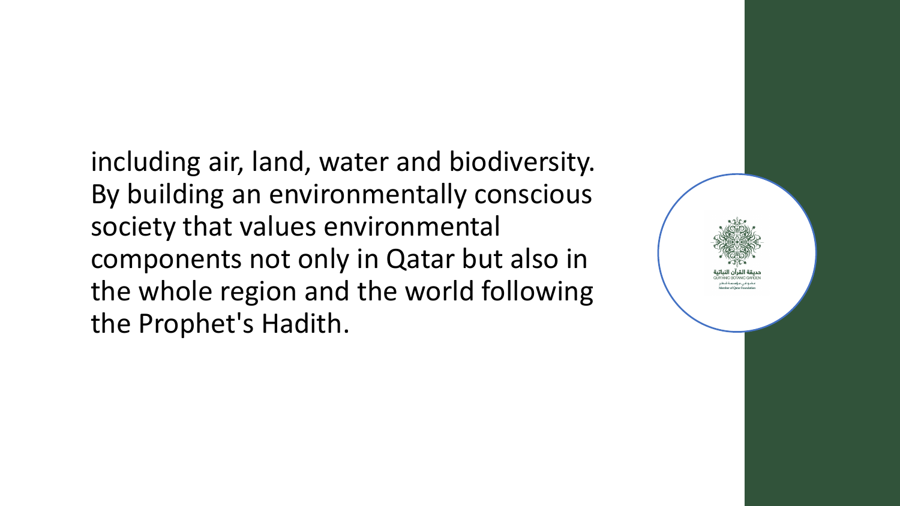including air, land, water and biodiversity. By building an environmentally conscious society that values environmental components not only in Qatar but also in the whole region and the world following the Prophet's Hadith.

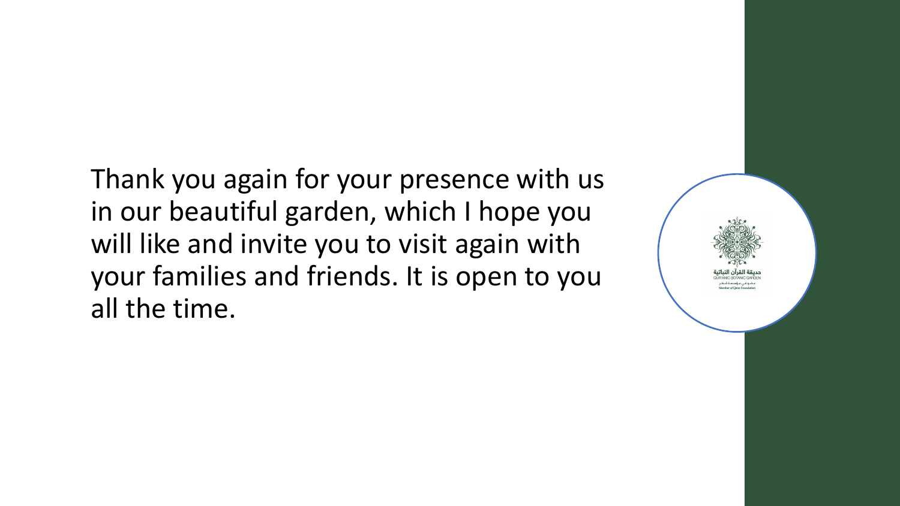Thank you again for your presence with us in our beautiful garden, which I hope you will like and invite you to visit again with your families and friends. It is open to you all the time.

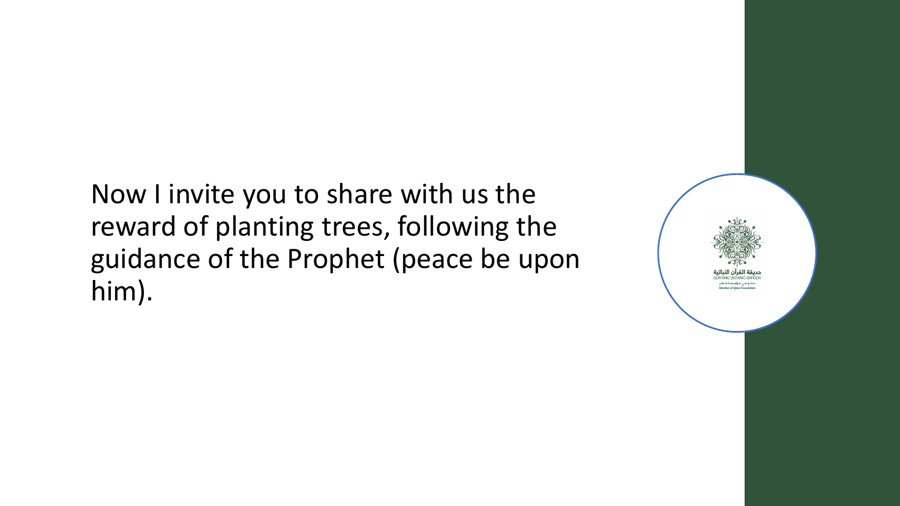Now I invite you to share with us the reward of planting trees, following the guidance of the Prophet (peace be upon him).